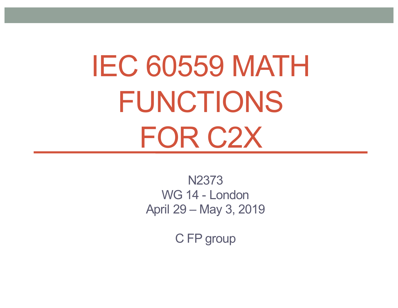# IEC 60559 MATH FUNCTIONS FOR C2X

N2373 WG 14 - London April 29 – May 3, 2019

C FP group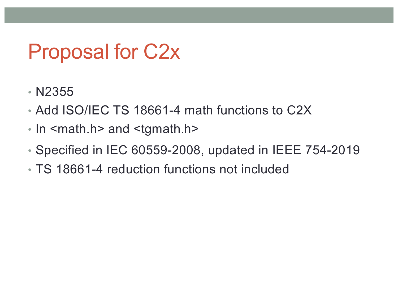#### Proposal for C2x

- N2355
- Add ISO/IEC TS 18661-4 math functions to C2X
- In <math.h> and <tgmath.h>
- Specified in IEC 60559-2008, updated in IEEE 754-2019
- TS 18661-4 reduction functions not included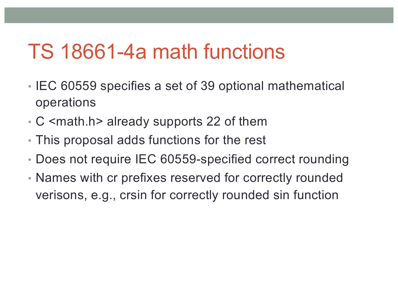#### TS 18661-4a math functions

- IEC 60559 specifies a set of 39 optional mathematical operations
- C <math.h> already supports 22 of them
- This proposal adds functions for the rest
- Does not require IEC 60559-specified correct rounding
- Names with cr prefixes reserved for correctly rounded verisons, e.g., crsin for correctly rounded sin function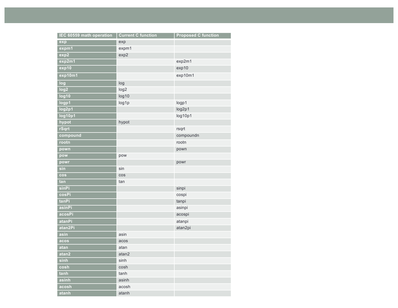| IEC 60559 math operation | <b>Current C function</b> | <b>Proposed C function</b> |
|--------------------------|---------------------------|----------------------------|
| exp                      | exp                       |                            |
| expm1                    | expm1                     |                            |
| exp2                     | exp2                      |                            |
| exp2m1                   |                           | exp2m1                     |
| exp10                    |                           | exp10                      |
| exp10m1                  |                           | exp10m1                    |
| log                      | log                       |                            |
| log <sub>2</sub>         | log <sub>2</sub>          |                            |
| log10                    | log10                     |                            |
| logp1                    | log1p                     | logp1                      |
| log2p1                   |                           | log2p1                     |
| log10p1                  |                           | log10p1                    |
| hypot                    | hypot                     |                            |
| rSqrt                    |                           | rsqrt                      |
| compound                 |                           | compoundn                  |
| rootn                    |                           | rootn                      |
| pown                     |                           | pown                       |
| pow                      | pow                       |                            |
| powr                     |                           | powr                       |
| sin                      | sin                       |                            |
| cos                      | cos                       |                            |
| tan                      | tan                       |                            |
| sinPi                    |                           | sinpi                      |
| cosPi                    |                           | cospi                      |
| tanPi                    |                           | tanpi                      |
| asinPi                   |                           | asinpi                     |
| acosPi                   |                           | acospi                     |
| atanPi                   |                           | atanpi                     |
| atan2Pi                  |                           | atan2pi                    |
| asin                     | asin                      |                            |
| acos                     | acos                      |                            |
| atan                     | atan                      |                            |
| atan2                    | atan2                     |                            |
| sinh                     | sinh                      |                            |
| cosh                     | cosh                      |                            |
| tanh                     | tanh                      |                            |
| asinh                    | asinh                     |                            |
| acosh                    | acosh                     |                            |
| atanh                    | atanh                     |                            |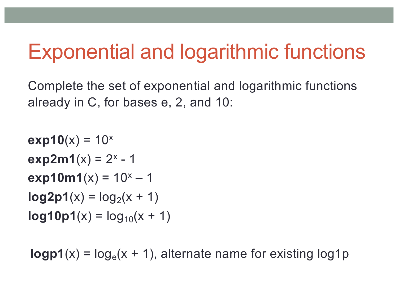### Exponential and logarithmic functions

Complete the set of exponential and logarithmic functions already in C, for bases e, 2, and 10:

```
exp10(x) = 10^xexp2m1(x) = 2^x - 1
exp10m1(x) = 10^x - 1log2p1(x) = log<sub>2</sub>(x + 1)log 10p1(x) = log_{10}(x + 1)
```
 $logp1(x) = log_e(x + 1)$ , alternate name for existing  $log1p$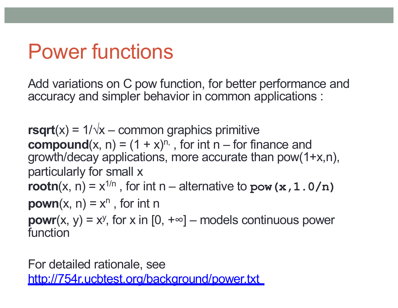## Power functions

Add variations on C pow function, for better performance and accuracy and simpler behavior in common applications :

**rsqrt** $(x) = 1/\sqrt{x}$  – common graphics primitive **compound** $(x, n) = (1 + x)^{n}$ , for int n – for finance and growth/decay applications, more accurate than pow(1+x,n), particularly for small x **rootn** $(x, n) = x^{1/n}$ , for int n – alternative to **pow** ( $x, 1.0/n$ ) **pown**(x, n) =  $x^n$ , for int n **powr**(x, y) =  $x^y$ , for x in [0,  $+\infty$ ] – models continuous power function

For detailed rationale, see <http://754r.ucbtest.org/background/power.txt>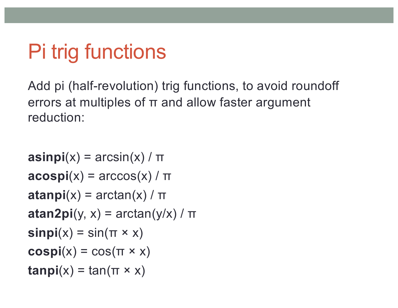# Pi trig functions

Add pi (half-revolution) trig functions, to avoid roundoff errors at multiples of π and allow faster argument reduction:

```
\text{a}\text{sin}\text{p}\text{i}(x) = \arcsin(x)/\pi\textbf{acospi}(x) = \arccos(x) / \piatanpi(x) = \arctan(x) / \piatan2pi(y, x) = \arctan(y/x) / \pi\mathsf{simpi}(x) = \sin(\pi \times x)cospi(x) = cos(\pi \times x)tanpi(x) = tan(\pi \times x)
```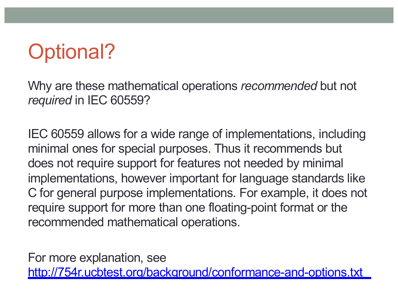## Optional?

Why are these mathematical operations *recommended* but not *required* in IEC 60559?

IEC 60559 allows for a wide range of implementations, including minimal ones for special purposes. Thus it recommends but does not require support for features not needed by minimal implementations, however important for language standards like C for general purpose implementations. For example, it does not require support for more than one floating-point format or the recommended mathematical operations.

For more explanation, see <http://754r.ucbtest.org/background/conformance-and-options.txt>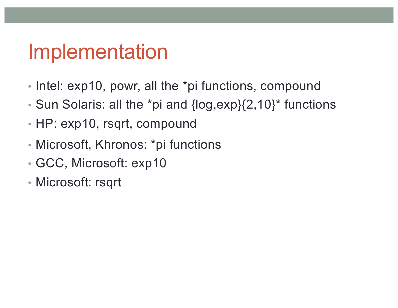#### Implementation

- Intel: exp10, powr, all the \*pi functions, compound
- Sun Solaris: all the \*pi and {log,exp}{2,10}\* functions
- HP: exp10, rsqrt, compound
- Microsoft, Khronos: \*pi functions
- GCC, Microsoft: exp10
- Microsoft: rsqrt